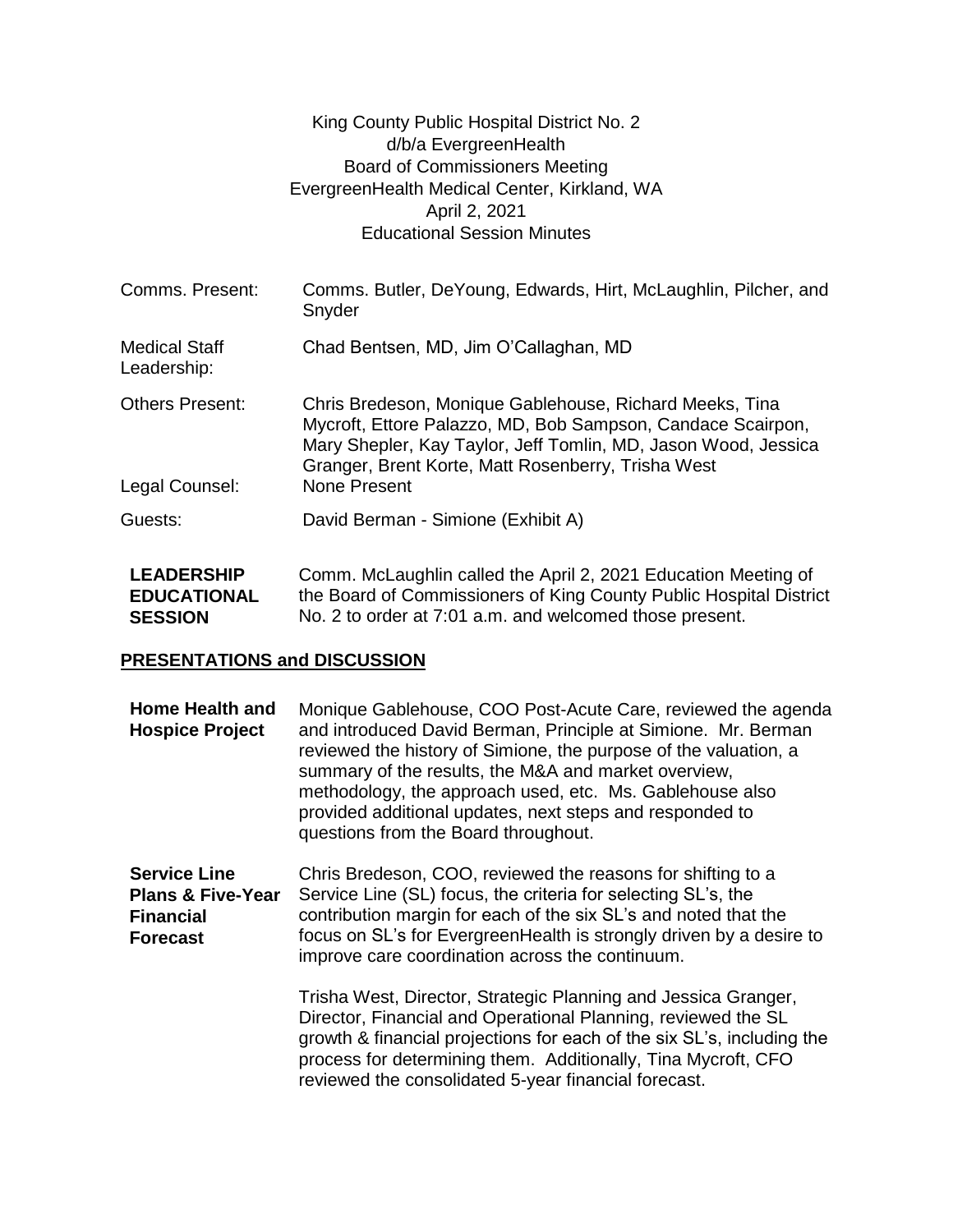|                                          | King County Public Hospital District No. 2<br>d/b/a EvergreenHealth<br><b>Board of Commissioners Meeting</b><br>EvergreenHealth Medical Center, Kirkland, WA<br>April 2, 2021<br><b>Educational Session Minutes</b>                                            |  |
|------------------------------------------|----------------------------------------------------------------------------------------------------------------------------------------------------------------------------------------------------------------------------------------------------------------|--|
| Comms. Present:                          | Comms. Butler, DeYoung, Edwards, Hirt, McLaughlin, Pilcher, and<br>Snyder                                                                                                                                                                                      |  |
| <b>Medical Staff</b><br>Leadership:      | Chad Bentsen, MD, Jim O'Callaghan, MD                                                                                                                                                                                                                          |  |
| <b>Others Present:</b><br>Legal Counsel: | Chris Bredeson, Monique Gablehouse, Richard Meeks, Tina<br>Mycroft, Ettore Palazzo, MD, Bob Sampson, Candace Scairpon,<br>Mary Shepler, Kay Taylor, Jeff Tomlin, MD, Jason Wood, Jessica<br>Granger, Brent Korte, Matt Rosenberry, Trisha West<br>None Present |  |
|                                          |                                                                                                                                                                                                                                                                |  |
| Guests:                                  | David Berman - Simione (Exhibit A)                                                                                                                                                                                                                             |  |
| I FADFRSHIP                              | Comm McLaughlin called the April 2, 2021 Education Meeting of                                                                                                                                                                                                  |  |

## **LEADERSHIP EDUCATIONAL SESSION** Comm. McLaughlin called the April 2, 2021 Education Meeting of the Board of Commissioners of King County Public Hospital District No. 2 to order at 7:01 a.m. and welcomed those present.

## **PRESENTATIONS and DISCUSSION**

| <b>Home Health and</b><br><b>Hospice Project</b>                                           | Monique Gablehouse, COO Post-Acute Care, reviewed the agenda<br>and introduced David Berman, Principle at Simione. Mr. Berman<br>reviewed the history of Simione, the purpose of the valuation, a<br>summary of the results, the M&A and market overview,<br>methodology, the approach used, etc. Ms. Gablehouse also<br>provided additional updates, next steps and responded to<br>questions from the Board throughout. |
|--------------------------------------------------------------------------------------------|---------------------------------------------------------------------------------------------------------------------------------------------------------------------------------------------------------------------------------------------------------------------------------------------------------------------------------------------------------------------------------------------------------------------------|
| <b>Service Line</b><br><b>Plans &amp; Five-Year</b><br><b>Financial</b><br><b>Forecast</b> | Chris Bredeson, COO, reviewed the reasons for shifting to a<br>Service Line (SL) focus, the criteria for selecting SL's, the<br>contribution margin for each of the six SL's and noted that the<br>focus on SL's for Evergreen Health is strongly driven by a desire to<br>improve care coordination across the continuum.                                                                                                |
|                                                                                            | Trisha West, Director, Strategic Planning and Jessica Granger,<br>Director, Financial and Operational Planning, reviewed the SL<br>growth & financial projections for each of the six SL's, including the<br>process for determining them. Additionally, Tina Mycroft, CFO<br>reviewed the consolidated 5-year financial forecast.                                                                                        |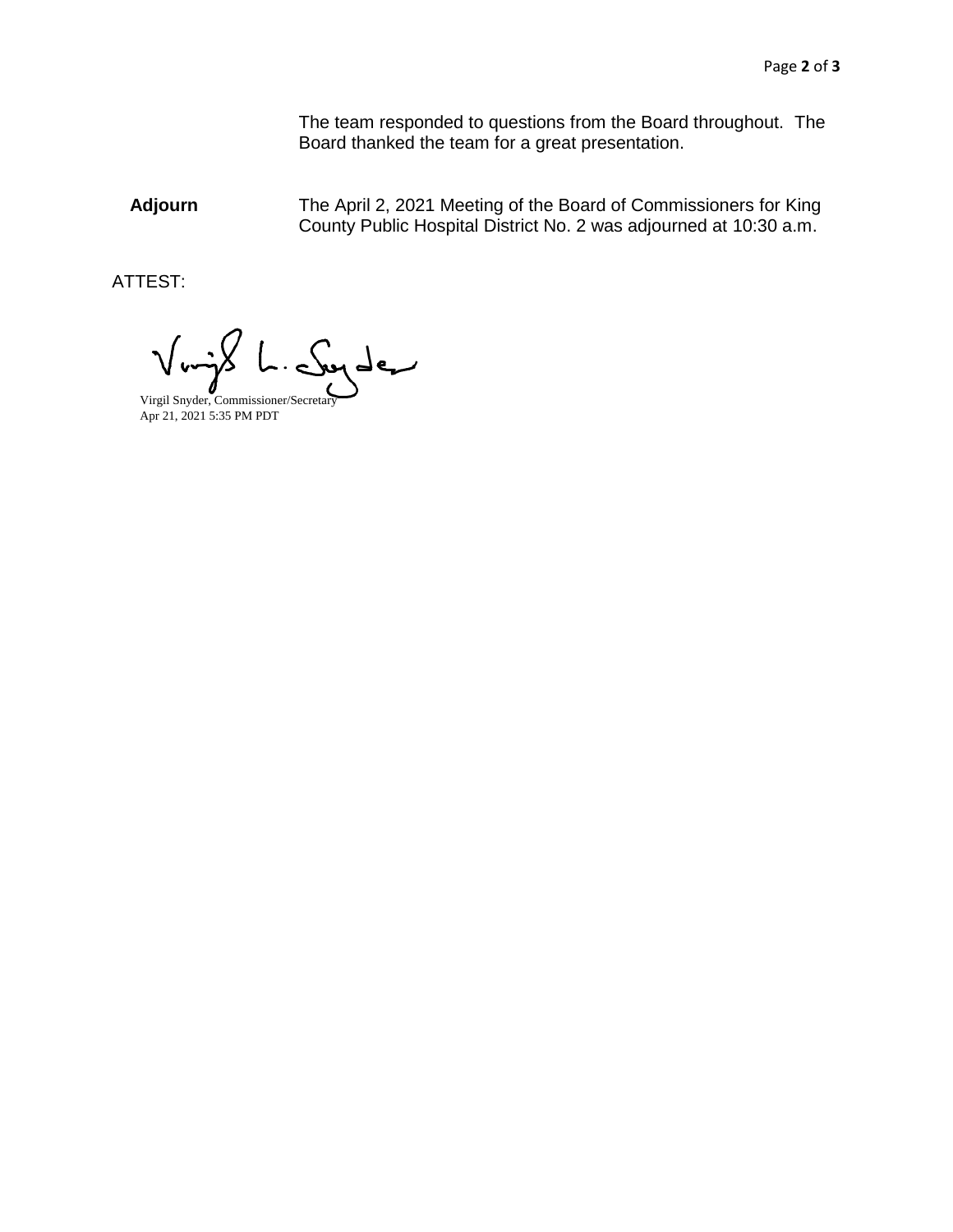The team responded to questions from the Board throughout. The Board thanked the team for a great presentation.

**Adjourn** The April 2, 2021 Meeting of the Board of Commissioners for King County Public Hospital District No. 2 was adjourned at 10:30 a.m.

ATTEST:

 $\sqrt{m}$ Vergil Snyder, Commissioner/Secretary

Apr 21, 2021 5:35 PM PDT